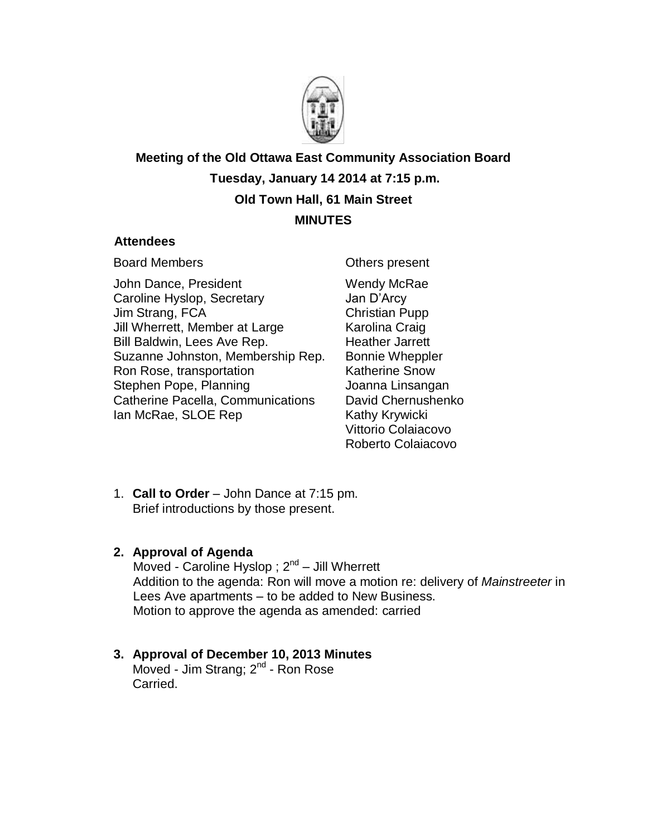

**Meeting of the Old Ottawa East Community Association Board Tuesday, January 14 2014 at 7:15 p.m. Old Town Hall, 61 Main Street MINUTES** 

#### **Attendees**

Board Members

John Dance, President Caroline Hyslop, Secretary Jim Strang, FCA Jill Wherrett, Member at Large Bill Baldwin, Lees Ave Rep. Suzanne Johnston, Membership Rep. Ron Rose, transportation Stephen Pope, Planning Catherine Pacella, Communications Ian McRae, SLOE Rep

Others present Wendy McRae Jan D'Arcy Christian Pupp Karolina Craig Heather Jarrett Bonnie Wheppler Katherine Snow Joanna Linsangan David Chernushenko Kathy Krywicki Vittorio Colaiacovo Roberto Colaiacovo

1. **Call to Order** – John Dance at 7:15 pm. Brief introductions by those present.

## **2. Approval of Agenda**

Moved - Caroline Hyslop ; 2<sup>nd</sup> – Jill Wherrett Addition to the agenda: Ron will move a motion re: delivery of *Mainstreeter* in Lees Ave apartments – to be added to New Business. Motion to approve the agenda as amended: carried

# **3. Approval of December 10, 2013 Minutes**

Moved - Jim Strang; 2<sup>nd</sup> - Ron Rose Carried.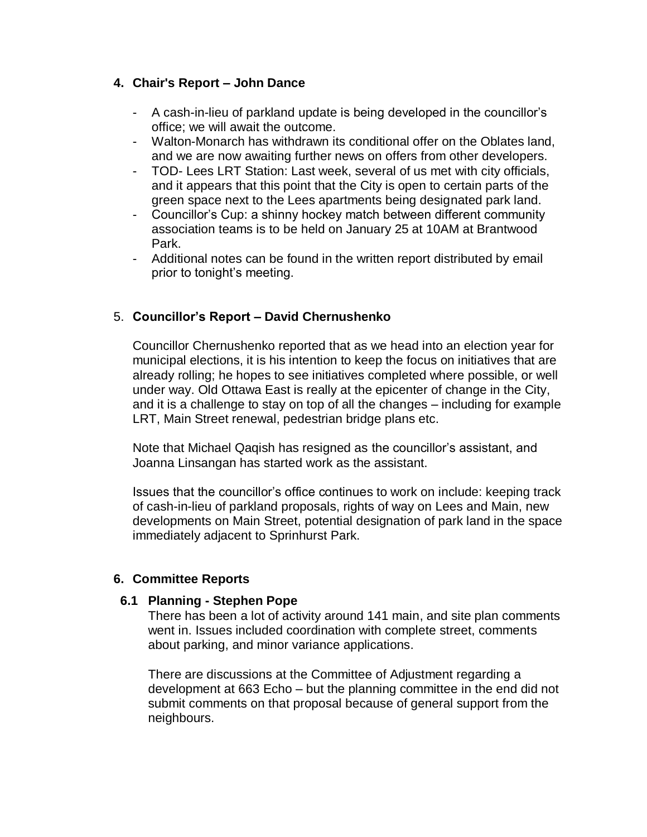## **4. Chair's Report – John Dance**

- A cash-in-lieu of parkland update is being developed in the councillor's office; we will await the outcome.
- Walton-Monarch has withdrawn its conditional offer on the Oblates land, and we are now awaiting further news on offers from other developers.
- TOD- Lees LRT Station: Last week, several of us met with city officials, and it appears that this point that the City is open to certain parts of the green space next to the Lees apartments being designated park land.
- Councillor's Cup: a shinny hockey match between different community association teams is to be held on January 25 at 10AM at Brantwood Park.
- Additional notes can be found in the written report distributed by email prior to tonight's meeting.

# 5. **Councillor's Report – David Chernushenko**

Councillor Chernushenko reported that as we head into an election year for municipal elections, it is his intention to keep the focus on initiatives that are already rolling; he hopes to see initiatives completed where possible, or well under way. Old Ottawa East is really at the epicenter of change in the City, and it is a challenge to stay on top of all the changes – including for example LRT, Main Street renewal, pedestrian bridge plans etc.

Note that Michael Qaqish has resigned as the councillor's assistant, and Joanna Linsangan has started work as the assistant.

Issues that the councillor's office continues to work on include: keeping track of cash-in-lieu of parkland proposals, rights of way on Lees and Main, new developments on Main Street, potential designation of park land in the space immediately adjacent to Sprinhurst Park.

## **6. Committee Reports**

## **6.1 Planning - Stephen Pope**

There has been a lot of activity around 141 main, and site plan comments went in. Issues included coordination with complete street, comments about parking, and minor variance applications.

There are discussions at the Committee of Adjustment regarding a development at 663 Echo – but the planning committee in the end did not submit comments on that proposal because of general support from the neighbours.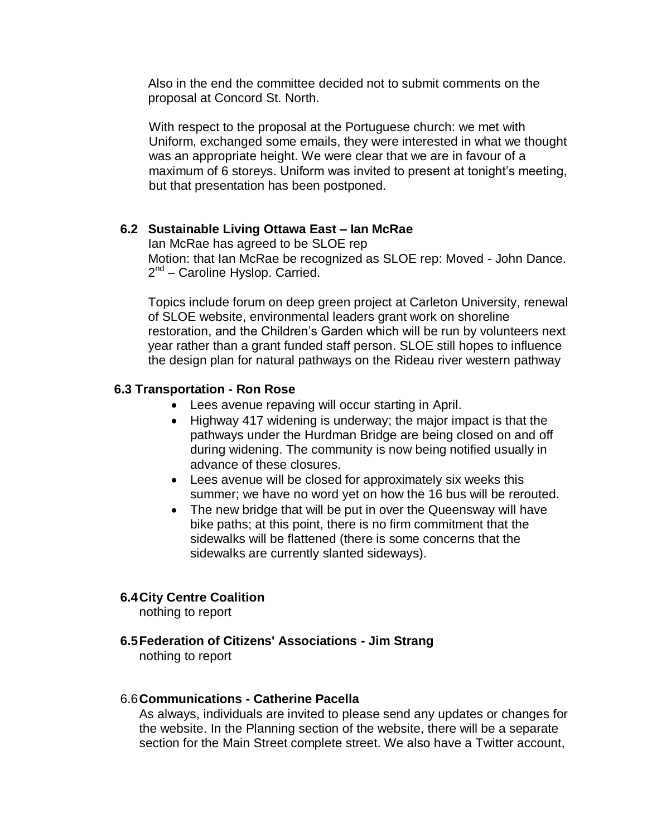Also in the end the committee decided not to submit comments on the proposal at Concord St. North.

With respect to the proposal at the Portuguese church: we met with Uniform, exchanged some emails, they were interested in what we thought was an appropriate height. We were clear that we are in favour of a maximum of 6 storeys. Uniform was invited to present at tonight's meeting, but that presentation has been postponed.

## **6.2 Sustainable Living Ottawa East – Ian McRae**

Ian McRae has agreed to be SLOE rep Motion: that Ian McRae be recognized as SLOE rep: Moved - John Dance. 2<sup>nd</sup> – Caroline Hyslop. Carried.

Topics include forum on deep green project at Carleton University, renewal of SLOE website, environmental leaders grant work on shoreline restoration, and the Children's Garden which will be run by volunteers next year rather than a grant funded staff person. SLOE still hopes to influence the design plan for natural pathways on the Rideau river western pathway

#### **6.3 Transportation - Ron Rose**

- Lees avenue repaving will occur starting in April.
- Highway 417 widening is underway; the major impact is that the pathways under the Hurdman Bridge are being closed on and off during widening. The community is now being notified usually in advance of these closures.
- Lees avenue will be closed for approximately six weeks this summer; we have no word yet on how the 16 bus will be rerouted.
- The new bridge that will be put in over the Queensway will have bike paths; at this point, there is no firm commitment that the sidewalks will be flattened (there is some concerns that the sidewalks are currently slanted sideways).

## **6.4City Centre Coalition**

nothing to report

## **6.5Federation of Citizens' Associations - Jim Strang**

nothing to report

#### 6.6**Communications - Catherine Pacella**

As always, individuals are invited to please send any updates or changes for the website. In the Planning section of the website, there will be a separate section for the Main Street complete street. We also have a Twitter account,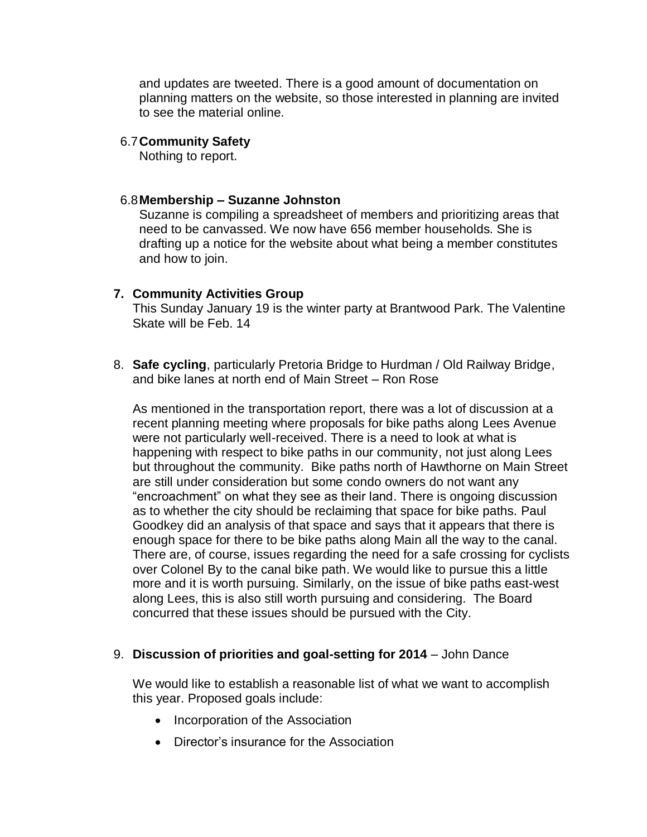and updates are tweeted. There is a good amount of documentation on planning matters on the website, so those interested in planning are invited to see the material online.

#### 6.7**Community Safety**

Nothing to report.

#### 6.8**Membership – Suzanne Johnston**

Suzanne is compiling a spreadsheet of members and prioritizing areas that need to be canvassed. We now have 656 member households. She is drafting up a notice for the website about what being a member constitutes and how to join.

## **7. Community Activities Group**

This Sunday January 19 is the winter party at Brantwood Park. The Valentine Skate will be Feb. 14

8. **Safe cycling**, particularly Pretoria Bridge to Hurdman / Old Railway Bridge, and bike lanes at north end of Main Street – Ron Rose

As mentioned in the transportation report, there was a lot of discussion at a recent planning meeting where proposals for bike paths along Lees Avenue were not particularly well-received. There is a need to look at what is happening with respect to bike paths in our community, not just along Lees but throughout the community. Bike paths north of Hawthorne on Main Street are still under consideration but some condo owners do not want any "encroachment" on what they see as their land. There is ongoing discussion as to whether the city should be reclaiming that space for bike paths. Paul Goodkey did an analysis of that space and says that it appears that there is enough space for there to be bike paths along Main all the way to the canal. There are, of course, issues regarding the need for a safe crossing for cyclists over Colonel By to the canal bike path. We would like to pursue this a little more and it is worth pursuing. Similarly, on the issue of bike paths east-west along Lees, this is also still worth pursuing and considering. The Board concurred that these issues should be pursued with the City.

## 9. **Discussion of priorities and goal-setting for 2014** – John Dance

We would like to establish a reasonable list of what we want to accomplish this year. Proposed goals include:

- Incorporation of the Association
- Director's insurance for the Association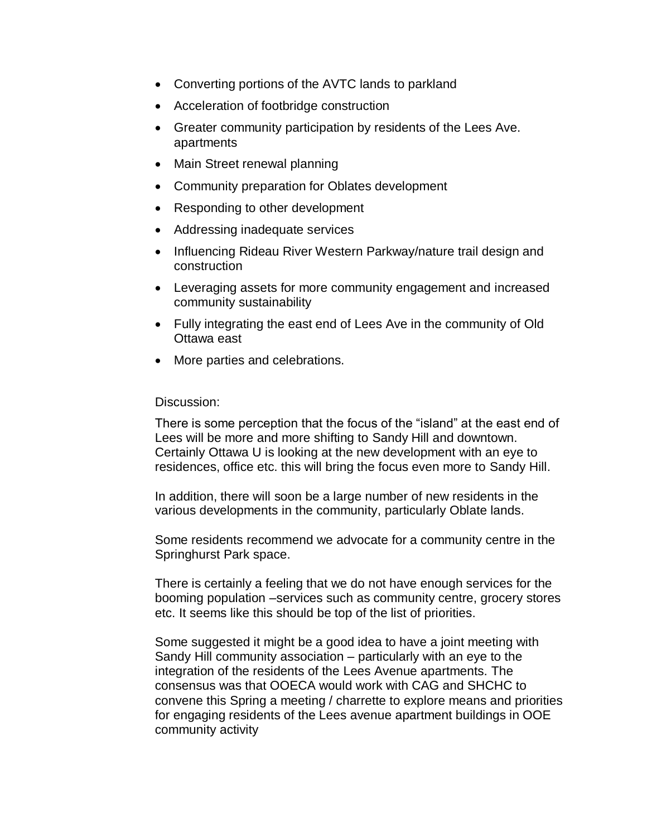- Converting portions of the AVTC lands to parkland
- Acceleration of footbridge construction
- Greater community participation by residents of the Lees Ave. apartments
- Main Street renewal planning
- Community preparation for Oblates development
- Responding to other development
- Addressing inadequate services
- Influencing Rideau River Western Parkway/nature trail design and construction
- Leveraging assets for more community engagement and increased community sustainability
- Fully integrating the east end of Lees Ave in the community of Old Ottawa east
- More parties and celebrations.

#### Discussion:

There is some perception that the focus of the "island" at the east end of Lees will be more and more shifting to Sandy Hill and downtown. Certainly Ottawa U is looking at the new development with an eye to residences, office etc. this will bring the focus even more to Sandy Hill.

In addition, there will soon be a large number of new residents in the various developments in the community, particularly Oblate lands.

Some residents recommend we advocate for a community centre in the Springhurst Park space.

There is certainly a feeling that we do not have enough services for the booming population –services such as community centre, grocery stores etc. It seems like this should be top of the list of priorities.

Some suggested it might be a good idea to have a joint meeting with Sandy Hill community association – particularly with an eye to the integration of the residents of the Lees Avenue apartments. The consensus was that OOECA would work with CAG and SHCHC to convene this Spring a meeting / charrette to explore means and priorities for engaging residents of the Lees avenue apartment buildings in OOE community activity